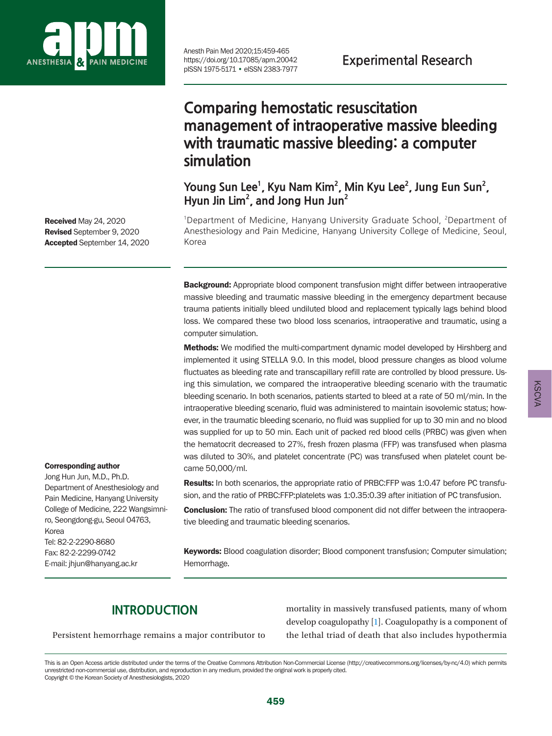

Anesth Pain Med 2020;15:459-465<br>https://doi.org/10.17085/apm.20042 **Experimental Research** https://doi.org/10.17085/apm.20042 pISSN 1975-5171 • eISSN 2383-7977

# **Comparing hemostatic resuscitation management of intraoperative massive bleeding with traumatic massive bleeding: a computer simulation**

Young Sun Lee<sup>1</sup>, Kyu Nam Kim<sup>2</sup>, Min Kyu Lee<sup>2</sup>, Jung Eun Sun<sup>2</sup>, **Hyun Jin Lim2 , and Jong Hun Jun2**

<sup>1</sup>Department of Medicine, Hanyang University Graduate School, <sup>2</sup>Department of Anesthesiology and Pain Medicine, Hanyang University College of Medicine, Seoul, Korea

**Background:** Appropriate blood component transfusion might differ between intraoperative massive bleeding and traumatic massive bleeding in the emergency department because trauma patients initially bleed undiluted blood and replacement typically lags behind blood loss. We compared these two blood loss scenarios, intraoperative and traumatic, using a computer simulation.

**Methods:** We modified the multi-compartment dynamic model developed by Hirshberg and implemented it using STELLA 9.0. In this model, blood pressure changes as blood volume fluctuates as bleeding rate and transcapillary refill rate are controlled by blood pressure. Using this simulation, we compared the intraoperative bleeding scenario with the traumatic bleeding scenario. In both scenarios, patients started to bleed at a rate of 50 ml/min. In the intraoperative bleeding scenario, fluid was administered to maintain isovolemic status; however, in the traumatic bleeding scenario, no fluid was supplied for up to 30 min and no blood was supplied for up to 50 min. Each unit of packed red blood cells (PRBC) was given when the hematocrit decreased to 27%, fresh frozen plasma (FFP) was transfused when plasma was diluted to 30%, and platelet concentrate (PC) was transfused when platelet count became 50,000/ml.

**Results:** In both scenarios, the appropriate ratio of PRBC:FFP was 1:0.47 before PC transfusion, and the ratio of PRBC:FFP:platelets was 1:0.35:0.39 after initiation of PC transfusion.

**Conclusion:** The ratio of transfused blood component did not differ between the intraoperative bleeding and traumatic bleeding scenarios.

Keywords: Blood coagulation disorder; Blood component transfusion; Computer simulation; Hemorrhage.

## **INTRODUCTION**

Persistent hemorrhage remains a major contributor to

mortality in massively transfused patients, many of whom develop coagulopathy [\[1](#page-5-0)]. Coagulopathy is a component of the lethal triad of death that also includes hypothermia

Received May 24, 2020 Revised September 9, 2020 Accepted September 14, 2020

Corresponding author Jong Hun Jun, M.D., Ph.D. Department of Anesthesiology and Pain Medicine, Hanyang University College of Medicine, 222 Wangsimniro, Seongdong-gu, Seoul 04763,

Tel: 82-2-2290-8680 Fax: 82-2-2299-0742 E-mail: jhjun@hanyang.ac.kr

Korea

This is an Open Access article distributed under the terms of the Creative Commons Attribution Non-Commercial License (http://creativecommons.org/licenses/by-nc/4.0) which permits unrestricted non-commercial use, distribution, and reproduction in any medium, provided the original work is properly cited. Copyright © the Korean Society of Anesthesiologists, 2020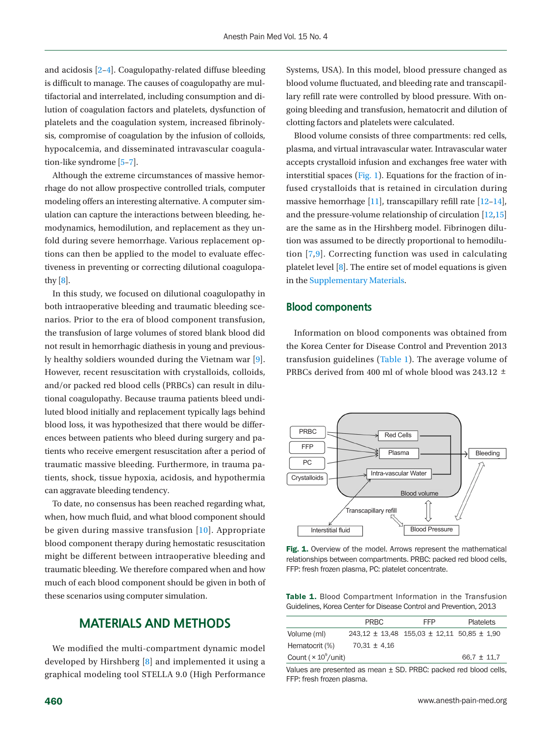and acidosis [\[2](#page-6-0)–[4\]](#page-6-1). Coagulopathy-related diffuse bleeding is difficult to manage. The causes of coagulopathy are multifactorial and interrelated, including consumption and dilution of coagulation factors and platelets, dysfunction of platelets and the coagulation system, increased fibrinolysis, compromise of coagulation by the infusion of colloids, hypocalcemia, and disseminated intravascular coagulation-like syndrome [\[5](#page-6-2)[–7\]](#page-6-3).

Although the extreme circumstances of massive hemorrhage do not allow prospective controlled trials, computer modeling offers an interesting alternative. A computer simulation can capture the interactions between bleeding, hemodynamics, hemodilution, and replacement as they unfold during severe hemorrhage. Various replacement options can then be applied to the model to evaluate effectiveness in preventing or correcting dilutional coagulopathy  $[8]$ .

In this study, we focused on dilutional coagulopathy in both intraoperative bleeding and traumatic bleeding scenarios. Prior to the era of blood component transfusion, the transfusion of large volumes of stored blank blood did not result in hemorrhagic diathesis in young and previously healthy soldiers wounded during the Vietnam war [\[9\]](#page-6-2). However, recent resuscitation with crystalloids, colloids, and/or packed red blood cells (PRBCs) can result in dilutional coagulopathy. Because trauma patients bleed undiluted blood initially and replacement typically lags behind blood loss, it was hypothesized that there would be differences between patients who bleed during surgery and patients who receive emergent resuscitation after a period of traumatic massive bleeding. Furthermore, in trauma patients, shock, tissue hypoxia, acidosis, and hypothermia can aggravate bleeding tendency.

To date, no consensus has been reached regarding what, when, how much fluid, and what blood component should be given during massive transfusion [[10\]](#page-6-4). Appropriate blood component therapy during hemostatic resuscitation might be different between intraoperative bleeding and traumatic bleeding. We therefore compared when and how much of each blood component should be given in both of these scenarios using computer simulation.

## **MATERIALS AND METHODS**

We modified the multi-compartment dynamic model developed by Hirshberg [\[8\]](#page-6-1) and implemented it using a graphical modeling tool STELLA 9.0 (High Performance

Systems, USA). In this model, blood pressure changed as blood volume fluctuated, and bleeding rate and transcapillary refill rate were controlled by blood pressure. With ongoing bleeding and transfusion, hematocrit and dilution of clotting factors and platelets were calculated.

Blood volume consists of three compartments: red cells, plasma, and virtual intravascular water. Intravascular water accepts crystalloid infusion and exchanges free water with interstitial spaces [\(Fig. 1](#page-1-0)). Equations for the fraction of infused crystalloids that is retained in circulation during massive hemorrhage [\[11](#page-6-5)], transcapillary refill rate [\[12–](#page-6-6)[14\]](#page-6-7), and the pressure-volume relationship of circulation [\[12](#page-6-6)[,15](#page-6-8)] are the same as in the Hirshberg model. Fibrinogen dilution was assumed to be directly proportional to hemodilution [\[7,](#page-6-3)[9\]](#page-6-2). Correcting function was used in calculating platelet level [\[8](#page-6-1)]. The entire set of model equations is given in the [Supplementary Materials](#page-5-1).

#### **Blood components**

Information on blood components was obtained from the Korea Center for Disease Control and Prevention 2013 transfusion guidelines [\(Table 1](#page-1-1)). The average volume of PRBCs derived from 400 ml of whole blood was 243.12 ±

<span id="page-1-0"></span>

Fig. 1. Overview of the model. Arrows represent the mathematical relationships between compartments. PRBC: packed red blood cells, FFP: fresh frozen plasma, PC: platelet concentrate.

<span id="page-1-1"></span>Table 1. Blood Compartment Information in the Transfusion Guidelines, Korea Center for Disease Control and Prevention, 2013

|                                         | PRBC             | <b>FFP</b>                                             | <b>Platelets</b> |
|-----------------------------------------|------------------|--------------------------------------------------------|------------------|
| Volume (ml)                             |                  | $243.12 \pm 13.48$ 155.03 $\pm$ 12.11 50.85 $\pm$ 1.90 |                  |
| Hematocrit (%)                          | $70.31 \pm 4.16$ |                                                        |                  |
| Count ( $\times$ 10 <sup>9</sup> /unit) |                  |                                                        | $66.7 + 11.7$    |

Values are presented as mean ± SD. PRBC: packed red blood cells, FFP: fresh frozen plasma.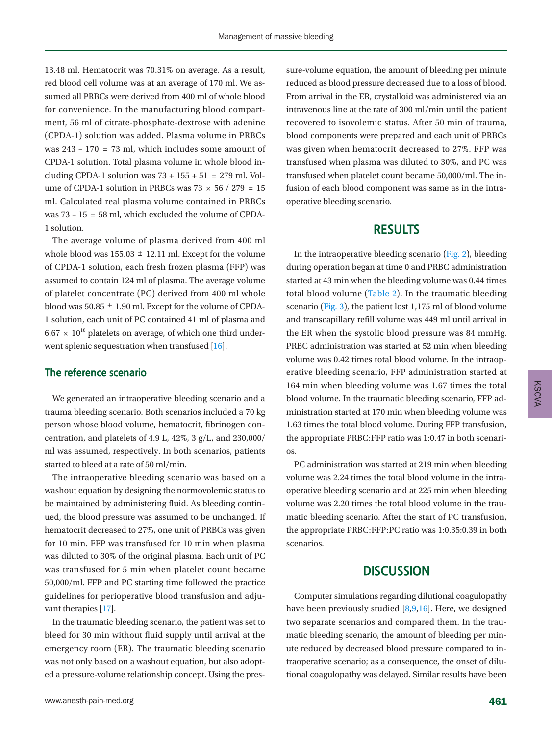13.48 ml. Hematocrit was 70.31% on average. As a result, red blood cell volume was at an average of 170 ml. We assumed all PRBCs were derived from 400 ml of whole blood for convenience. In the manufacturing blood compartment, 56 ml of citrate-phosphate-dextrose with adenine (CPDA-1) solution was added. Plasma volume in PRBCs was 243 – 170 = 73 ml, which includes some amount of CPDA-1 solution. Total plasma volume in whole blood including CPDA-1 solution was  $73 + 155 + 51 = 279$  ml. Volume of CPDA-1 solution in PRBCs was  $73 \times 56 / 279 = 15$ ml. Calculated real plasma volume contained in PRBCs was  $73 - 15 = 58$  ml, which excluded the volume of CPDA-1 solution.

The average volume of plasma derived from 400 ml whole blood was  $155.03 \pm 12.11$  ml. Except for the volume of CPDA-1 solution, each fresh frozen plasma (FFP) was assumed to contain 124 ml of plasma. The average volume of platelet concentrate (PC) derived from 400 ml whole blood was  $50.85 \pm 1.90$  ml. Except for the volume of CPDA-1 solution, each unit of PC contained 41 ml of plasma and  $6.67 \times 10^{10}$  platelets on average, of which one third under-went splenic sequestration when transfused [\[16\]](#page-6-9).

### **The reference scenario**

We generated an intraoperative bleeding scenario and a trauma bleeding scenario. Both scenarios included a 70 kg person whose blood volume, hematocrit, fibrinogen concentration, and platelets of 4.9 L, 42%, 3 g/L, and 230,000/ ml was assumed, respectively. In both scenarios, patients started to bleed at a rate of 50 ml/min.

The intraoperative bleeding scenario was based on a washout equation by designing the normovolemic status to be maintained by administering fluid. As bleeding continued, the blood pressure was assumed to be unchanged. If hematocrit decreased to 27%, one unit of PRBCs was given for 10 min. FFP was transfused for 10 min when plasma was diluted to 30% of the original plasma. Each unit of PC was transfused for 5 min when platelet count became 50,000/ml. FFP and PC starting time followed the practice guidelines for perioperative blood transfusion and adjuvant therapies [\[17\]](#page-6-10).

In the traumatic bleeding scenario, the patient was set to bleed for 30 min without fluid supply until arrival at the emergency room (ER). The traumatic bleeding scenario was not only based on a washout equation, but also adopted a pressure-volume relationship concept. Using the pressure-volume equation, the amount of bleeding per minute reduced as blood pressure decreased due to a loss of blood. From arrival in the ER, crystalloid was administered via an intravenous line at the rate of 300 ml/min until the patient recovered to isovolemic status. After 50 min of trauma, blood components were prepared and each unit of PRBCs was given when hematocrit decreased to 27%. FFP was transfused when plasma was diluted to 30%, and PC was transfused when platelet count became 50,000/ml. The infusion of each blood component was same as in the intraoperative bleeding scenario.

## **RESULTS**

In the intraoperative bleeding scenario [\(Fig. 2\)](#page-3-0), bleeding during operation began at time 0 and PRBC administration started at 43 min when the bleeding volume was 0.44 times total blood volume [\(Table 2](#page-3-1)). In the traumatic bleeding scenario [\(Fig. 3](#page-4-0)), the patient lost 1,175 ml of blood volume and transcapillary refill volume was 449 ml until arrival in the ER when the systolic blood pressure was 84 mmHg. PRBC administration was started at 52 min when bleeding volume was 0.42 times total blood volume. In the intraoperative bleeding scenario, FFP administration started at 164 min when bleeding volume was 1.67 times the total blood volume. In the traumatic bleeding scenario, FFP administration started at 170 min when bleeding volume was 1.63 times the total blood volume. During FFP transfusion, the appropriate PRBC:FFP ratio was 1:0.47 in both scenarios.

PC administration was started at 219 min when bleeding volume was 2.24 times the total blood volume in the intraoperative bleeding scenario and at 225 min when bleeding volume was 2.20 times the total blood volume in the traumatic bleeding scenario. After the start of PC transfusion, the appropriate PRBC:FFP:PC ratio was 1:0.35:0.39 in both scenarios.

## **DISCUSSION**

Computer simulations regarding dilutional coagulopathy have been previously studied [8,9,16]. Here, we designed two separate scenarios and compared them. In the traumatic bleeding scenario, the amount of bleeding per minute reduced by decreased blood pressure compared to intraoperative scenario; as a consequence, the onset of dilutional coagulopathy was delayed. Similar results have been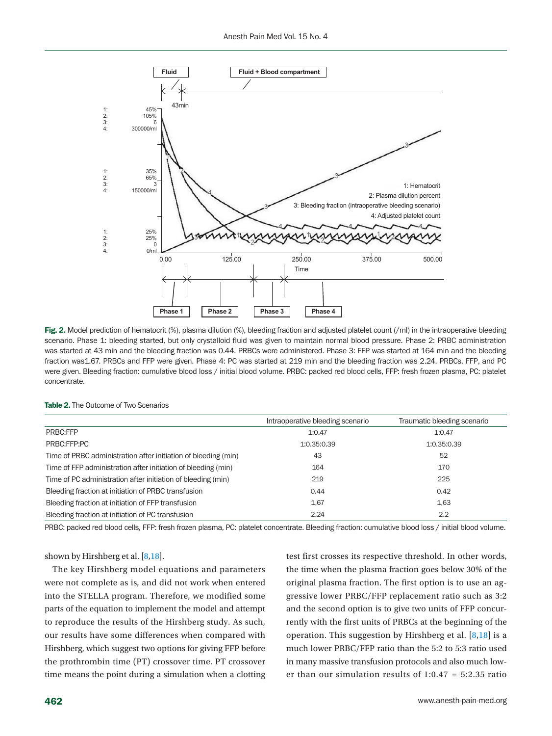<span id="page-3-0"></span>

Fig. 2. Model prediction of hematocrit (%), plasma dilution (%), bleeding fraction and adjusted platelet count (/ml) in the intraoperative bleeding scenario. Phase 1: bleeding started, but only crystalloid fluid was given to maintain normal blood pressure. Phase 2: PRBC administration was started at 43 min and the bleeding fraction was 0.44. PRBCs were administered. Phase 3: FFP was started at 164 min and the bleeding fraction was1.67. PRBCs and FFP were given. Phase 4: PC was started at 219 min and the bleeding fraction was 2.24. PRBCs, FFP, and PC were given. Bleeding fraction: cumulative blood loss / initial blood volume. PRBC: packed red blood cells, FFP: fresh frozen plasma, PC: platelet concentrate.

<span id="page-3-1"></span>Table 2. The Outcome of Two Scenarios

|                                                                | Intraoperative bleeding scenario | Traumatic bleeding scenario |
|----------------------------------------------------------------|----------------------------------|-----------------------------|
| PRBC:FFP                                                       | 1:0.47                           | 1:0.47                      |
| PRBC:FFP:PC                                                    | 1:0.35:0.39                      | 1:0.35:0.39                 |
| Time of PRBC administration after initiation of bleeding (min) | 43                               | 52                          |
| Time of FFP administration after initiation of bleeding (min)  | 164                              | 170                         |
| Time of PC administration after initiation of bleeding (min)   | 219                              | 225                         |
| Bleeding fraction at initiation of PRBC transfusion            | 0.44                             | 0.42                        |
| Bleeding fraction at initiation of FFP transfusion             | 1.67                             | 1.63                        |
| Bleeding fraction at initiation of PC transfusion              | 2.24                             | 2.2                         |

PRBC: packed red blood cells, FFP: fresh frozen plasma, PC: platelet concentrate. Bleeding fraction: cumulative blood loss / initial blood volume.

shown by Hirshberg et al. [[8,18](#page-6-8)].

The key Hirshberg model equations and parameters were not complete as is, and did not work when entered into the STELLA program. Therefore, we modified some parts of the equation to implement the model and attempt to reproduce the results of the Hirshberg study. As such, our results have some differences when compared with Hirshberg, which suggest two options for giving FFP before the prothrombin time (PT) crossover time. PT crossover time means the point during a simulation when a clotting test first crosses its respective threshold. In other words, the time when the plasma fraction goes below 30% of the original plasma fraction. The first option is to use an aggressive lower PRBC/FFP replacement ratio such as 3:2 and the second option is to give two units of FFP concurrently with the first units of PRBCs at the beginning of the operation. This suggestion by Hirshberg et al.  $[8,18]$  $[8,18]$  is a much lower PRBC/FFP ratio than the 5:2 to 5:3 ratio used in many massive transfusion protocols and also much lower than our simulation results of 1:0.47 = 5:2.35 ratio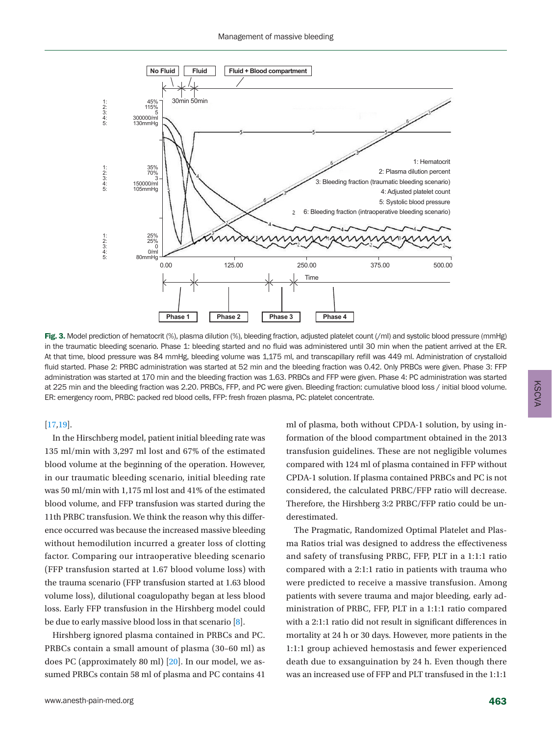<span id="page-4-0"></span>

Fig. 3. Model prediction of hematocrit (%), plasma dilution (%), bleeding fraction, adjusted platelet count (/ml) and systolic blood pressure (mmHg) in the traumatic bleeding scenario. Phase 1: bleeding started and no fluid was administered until 30 min when the patient arrived at the ER. At that time, blood pressure was 84 mmHg, bleeding volume was 1,175 ml, and transcapillary refill was 449 ml. Administration of crystalloid fluid started. Phase 2: PRBC administration was started at 52 min and the bleeding fraction was 0.42. Only PRBCs were given. Phase 3: FFP administration was started at 170 min and the bleeding fraction was 1.63. PRBCs and FFP were given. Phase 4: PC administration was started at 225 min and the bleeding fraction was 2.20. PRBCs, FFP, and PC were given. Bleeding fraction: cumulative blood loss / initial blood volume. ER: emergency room, PRBC: packed red blood cells, FFP: fresh frozen plasma, PC: platelet concentrate.

#### [17[,19\]](#page-6-11).

In the Hirschberg model, patient initial bleeding rate was 135 ml/min with 3,297 ml lost and 67% of the estimated blood volume at the beginning of the operation. However, in our traumatic bleeding scenario, initial bleeding rate was 50 ml/min with 1,175 ml lost and 41% of the estimated blood volume, and FFP transfusion was started during the 11th PRBC transfusion. We think the reason why this difference occurred was because the increased massive bleeding without hemodilution incurred a greater loss of clotting factor. Comparing our intraoperative bleeding scenario (FFP transfusion started at 1.67 blood volume loss) with the trauma scenario (FFP transfusion started at 1.63 blood volume loss), dilutional coagulopathy began at less blood loss. Early FFP transfusion in the Hirshberg model could be due to early massive blood loss in that scenario [8].

Hirshberg ignored plasma contained in PRBCs and PC. PRBCs contain a small amount of plasma (30–60 ml) as does PC (approximately 80 ml) [\[20\]](#page-6-12). In our model, we assumed PRBCs contain 58 ml of plasma and PC contains 41

ml of plasma, both without CPDA-1 solution, by using information of the blood compartment obtained in the 2013 transfusion guidelines. These are not negligible volumes compared with 124 ml of plasma contained in FFP without CPDA-1 solution. If plasma contained PRBCs and PC is not considered, the calculated PRBC/FFP ratio will decrease. Therefore, the Hirshberg 3:2 PRBC/FFP ratio could be underestimated.

The Pragmatic, Randomized Optimal Platelet and Plasma Ratios trial was designed to address the effectiveness and safety of transfusing PRBC, FFP, PLT in a 1:1:1 ratio compared with a 2:1:1 ratio in patients with trauma who were predicted to receive a massive transfusion. Among patients with severe trauma and major bleeding, early administration of PRBC, FFP, PLT in a 1:1:1 ratio compared with a 2:1:1 ratio did not result in significant differences in mortality at 24 h or 30 days. However, more patients in the 1:1:1 group achieved hemostasis and fewer experienced death due to exsanguination by 24 h. Even though there was an increased use of FFP and PLT transfused in the 1:1:1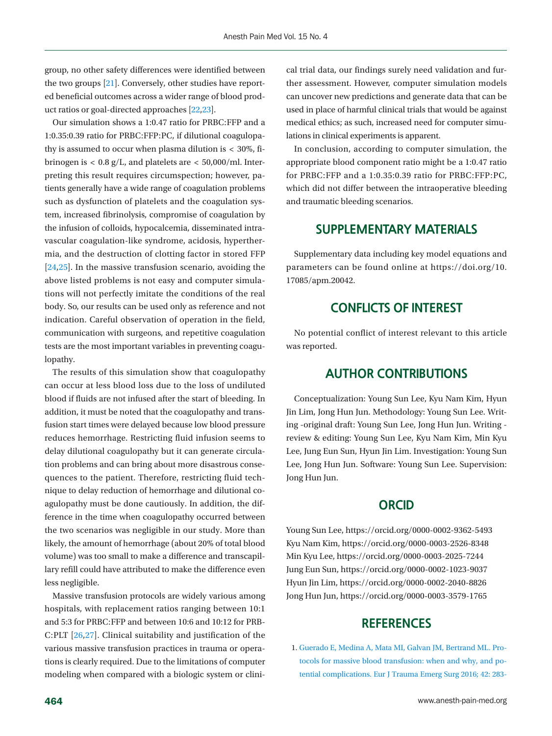group, no other safety differences were identified between the two groups [\[21\]](#page-6-13). Conversely, other studies have reported beneficial outcomes across a wider range of blood product ratios or goal-directed approaches [\[22](#page-6-14)[,23\]](#page-6-15).

Our simulation shows a 1:0.47 ratio for PRBC:FFP and a 1:0.35:0.39 ratio for PRBC:FFP:PC, if dilutional coagulopathy is assumed to occur when plasma dilution is < 30%, fibrinogen is  $< 0.8$  g/L, and platelets are  $< 50,000$ /ml. Interpreting this result requires circumspection; however, patients generally have a wide range of coagulation problems such as dysfunction of platelets and the coagulation system, increased fibrinolysis, compromise of coagulation by the infusion of colloids, hypocalcemia, disseminated intravascular coagulation-like syndrome, acidosis, hyperthermia, and the destruction of clotting factor in stored FFP [\[24](#page-6-16)[,25](#page-6-17)]. In the massive transfusion scenario, avoiding the above listed problems is not easy and computer simulations will not perfectly imitate the conditions of the real body. So, our results can be used only as reference and not indication. Careful observation of operation in the field, communication with surgeons, and repetitive coagulation tests are the most important variables in preventing coagulopathy.

The results of this simulation show that coagulopathy can occur at less blood loss due to the loss of undiluted blood if fluids are not infused after the start of bleeding. In addition, it must be noted that the coagulopathy and transfusion start times were delayed because low blood pressure reduces hemorrhage. Restricting fluid infusion seems to delay dilutional coagulopathy but it can generate circulation problems and can bring about more disastrous consequences to the patient. Therefore, restricting fluid technique to delay reduction of hemorrhage and dilutional coagulopathy must be done cautiously. In addition, the difference in the time when coagulopathy occurred between the two scenarios was negligible in our study. More than likely, the amount of hemorrhage (about 20% of total blood volume) was too small to make a difference and transcapillary refill could have attributed to make the difference even less negligible.

Massive transfusion protocols are widely various among hospitals, with replacement ratios ranging between 10:1 and 5:3 for PRBC:FFP and between 10:6 and 10:12 for PRB-C:PLT [\[26](#page-6-18)[,27\]](#page-6-19). Clinical suitability and justification of the various massive transfusion practices in trauma or operations is clearly required. Due to the limitations of computer modeling when compared with a biologic system or clinical trial data, our findings surely need validation and further assessment. However, computer simulation models can uncover new predictions and generate data that can be used in place of harmful clinical trials that would be against medical ethics; as such, increased need for computer simulations in clinical experiments is apparent.

In conclusion, according to computer simulation, the appropriate blood component ratio might be a 1:0.47 ratio for PRBC:FFP and a 1:0.35:0.39 ratio for PRBC:FFP:PC, which did not differ between the intraoperative bleeding and traumatic bleeding scenarios.

## <span id="page-5-1"></span>**SUPPLEMENTARY MATERIALS**

Supplementary data including key model equations and parameters can be found online at [https://doi.org/10.](https://doi.org/10.17085/apm.20042) [17085/apm.20042.](https://doi.org/10.17085/apm.20042)

## **CONFLICTS OF INTEREST**

No potential conflict of interest relevant to this article was reported.

## **AUTHOR CONTRIBUTIONS**

Conceptualization: Young Sun Lee, Kyu Nam Kim, Hyun Jin Lim, Jong Hun Jun. Methodology: Young Sun Lee. Writing -original draft: Young Sun Lee, Jong Hun Jun. Writing review & editing: Young Sun Lee, Kyu Nam Kim, Min Kyu Lee, Jung Eun Sun, Hyun Jin Lim. Investigation: Young Sun Lee, Jong Hun Jun. Software: Young Sun Lee. Supervision: Jong Hun Jun.

## **ORCID**

Young Sun Lee, [https://orcid.org/0000-0002-9362-5493](http://orcid.org/0000-0002-9362-5493) Kyu Nam Kim[, https://orcid.org/0000-0003-2526-8348](http://orcid.org/0000-0003-2526-8348) Min Kyu Lee, [https://orcid.org/0000-0003-2025-724](http://orcid.org/0000-0003-2025-7244)4 Jung Eun Sun, [https://orcid.org/0000-0002-1023-903](http://orcid.org/0000-0002-1023-9037)7 Hyun Jin Lim, [https://orcid.org/0000-0002-2040-882](http://orcid.org/0000-0002-2040-8826)6 Jong Hun Jun, [https://orcid.org/0000-0003-3579-1765](http://orcid.org/0000-0003-3579-1765)

## **REFERENCES**

<span id="page-5-0"></span>1. [Guerado E, Medina A, Mata MI, Galvan JM, Bertrand ML. Pro](https://doi.org/10.1007/s00068-015-0612-y)[tocols for massive blood transfusion: when and why, and po](https://doi.org/10.1007/s00068-015-0612-y)[tential complications. Eur J Trauma Emerg Surg 2016; 42: 283-](https://doi.org/10.1007/s00068-015-0612-y)